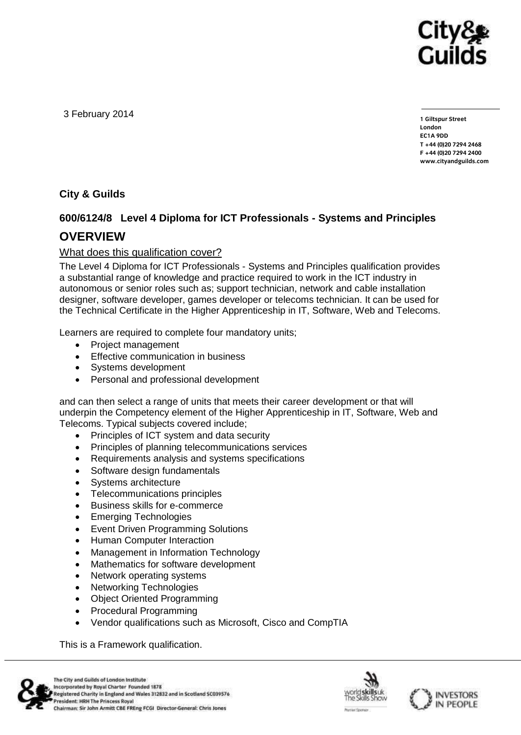

3 February 2014

**1 Giltspur Street EC1A 9DD**  $T + 44 (0)20 7294 2468$ **T +44 (0)20 7294 246[8](http://www.cityandguilds.com/) F +44 (0)20 7294 2400 [www.cityandguilds.com](http://www.cityandguilds.com/)**

**City & Guilds**

## **600/6124/8 Level 4 Diploma for ICT Professionals - Systems and Principles OVERVIEW**

#### What does this qualification cover?

The Level 4 Diploma for ICT Professionals - Systems and Principles qualification provides a substantial range of knowledge and practice required to work in the ICT industry in autonomous or senior roles such as; support technician, network and cable installation designer, software developer, games developer or telecoms technician. It can be used for the Technical Certificate in the Higher Apprenticeship in IT, Software, Web and Telecoms.

Learners are required to complete four mandatory units;

- [Project management](http://wdssapportal.cgli.int/cgb2b_sop/z_display/z_Assessment.do?object-id=50153153&parentPage=Q&parentID=50153141)
- **•** [Effective communication](http://wdssapportal.cgli.int/cgb2b_sop/z_display/z_Assessment.do?object-id=50127793&parentPage=Q&parentID=50153141) in business
- Systems [development](http://wdssapportal.cgli.int/cgb2b_sop/z_display/z_Assessment.do?object-id=50127813&parentPage=Q&parentID=50153141)
- [Personal and professional development](http://wdssapportal.cgli.int/cgb2b_sop/z_display/z_Assessment.do?object-id=50127815&parentPage=Q&parentID=50153141)

and can then select a range of units that meets their career development or that will underpin the Competency element of the Higher Apprenticeship in IT, Software, Web and Telecoms. Typical subjects covered include;

- Principles of ICT system and data security
- Principles of planning telecommunications services
- Requirements analysis and systems specifications
- Software design fundamentals
- Systems architecture
- Telecommunications principles
- Business skills for e-commerce
- Emerging Technologies
- Event Driven Programming Solutions
- Human Computer Interaction
- Management in Information Technology
- Mathematics for software development
- Network operating systems
- Networking Technologies
- Object Oriented Programming
- Procedural Programming
- Vendor qualifications such as Microsoft, Cisco and CompTIA

This is a Framework qualification.





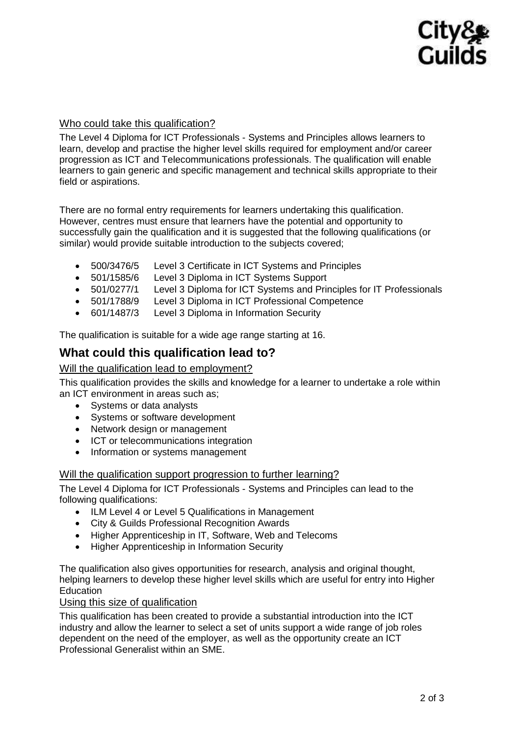# Cityg Guilds

#### Who could take this qualification?

The Level 4 Diploma for ICT Professionals - Systems and Principles allows learners to learn, develop and practise the higher level skills required for employment and/or career progression as ICT and Telecommunications professionals. The qualification will enable learners to gain generic and specific management and technical skills appropriate to their field or aspirations.

There are no formal entry requirements for learners undertaking this qualification. However, centres must ensure that learners have the potential and opportunity to successfully gain the qualification and it is suggested that the following qualifications (or similar) would provide suitable introduction to the subjects covered;

- 500/3476/5 Level 3 Certificate in ICT Systems and Principles
- 501/1585/6 Level 3 Diploma in ICT Systems Support
- 501/0277/1 Level 3 Diploma for ICT Systems and Principles for IT Professionals
- 501/1788/9 Level 3 Diploma in ICT Professional Competence
- 601/1487/3 Level 3 Diploma in Information Security

The qualification is suitable for a wide age range starting at 16.

## **What could this qualification lead to?**

#### Will the qualification lead to employment?

This qualification provides the skills and knowledge for a learner to undertake a role within an ICT environment in areas such as;

- Systems or data analysts
- Systems or software development
- Network design or management
- ICT or telecommunications integration
- Information or systems management

#### Will the qualification support progression to further learning?

The Level 4 Diploma for ICT Professionals - Systems and Principles can lead to the following qualifications:

- ILM Level 4 or Level 5 Qualifications in Management
- City & Guilds Professional Recognition Awards
- Higher Apprenticeship in IT, Software, Web and Telecoms
- Higher Apprenticeship in Information Security

The qualification also gives opportunities for research, analysis and original thought, helping learners to develop these higher level skills which are useful for entry into Higher **Education** 

#### Using this size of qualification

This qualification has been created to provide a substantial introduction into the ICT industry and allow the learner to select a set of units support a wide range of job roles dependent on the need of the employer, as well as the opportunity create an ICT Professional Generalist within an SME.